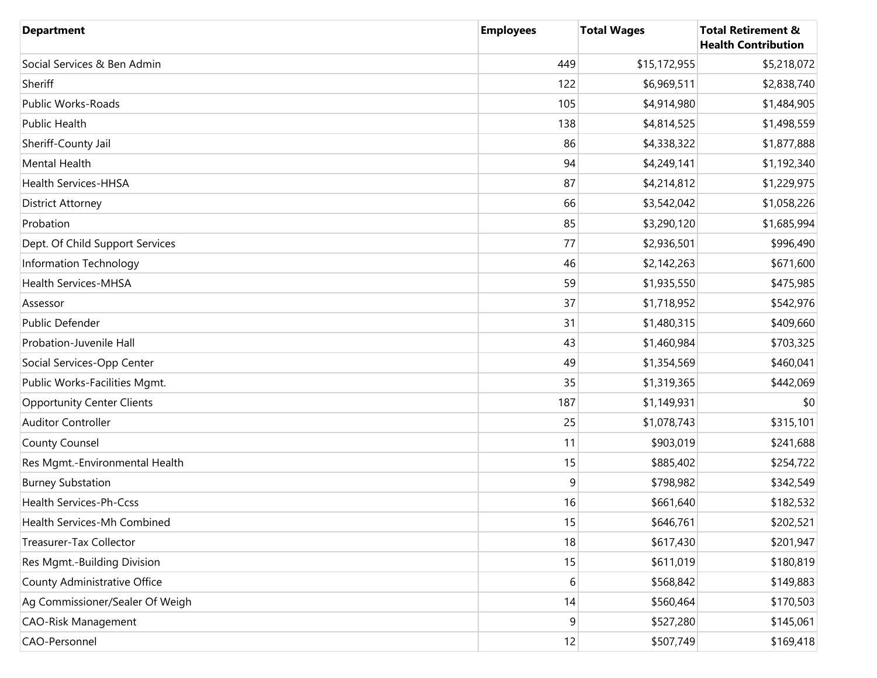| <b>Department</b>                 | <b>Employees</b> | <b>Total Wages</b> | <b>Total Retirement &amp;</b><br><b>Health Contribution</b> |
|-----------------------------------|------------------|--------------------|-------------------------------------------------------------|
| Social Services & Ben Admin       | 449              | \$15,172,955       | \$5,218,072                                                 |
| Sheriff                           | 122              | \$6,969,511        | \$2,838,740                                                 |
| Public Works-Roads                | 105              | \$4,914,980        | \$1,484,905                                                 |
| Public Health                     | 138              | \$4,814,525        | \$1,498,559                                                 |
| Sheriff-County Jail               | 86               | \$4,338,322        | \$1,877,888                                                 |
| Mental Health                     | 94               | \$4,249,141        | \$1,192,340                                                 |
| Health Services-HHSA              | 87               | \$4,214,812        | \$1,229,975                                                 |
| <b>District Attorney</b>          | 66               | \$3,542,042        | \$1,058,226                                                 |
| Probation                         | 85               | \$3,290,120        | \$1,685,994                                                 |
| Dept. Of Child Support Services   | 77               | \$2,936,501        | \$996,490                                                   |
| Information Technology            | 46               | \$2,142,263        | \$671,600                                                   |
| <b>Health Services-MHSA</b>       | 59               | \$1,935,550        | \$475,985                                                   |
| Assessor                          | 37               | \$1,718,952        | \$542,976                                                   |
| Public Defender                   | 31               | \$1,480,315        | \$409,660                                                   |
| Probation-Juvenile Hall           | 43               | \$1,460,984        | \$703,325                                                   |
| Social Services-Opp Center        | 49               | \$1,354,569        | \$460,041                                                   |
| Public Works-Facilities Mgmt.     | 35               | \$1,319,365        | \$442,069                                                   |
| <b>Opportunity Center Clients</b> | 187              | \$1,149,931        | \$0                                                         |
| <b>Auditor Controller</b>         | 25               | \$1,078,743        | \$315,101                                                   |
| <b>County Counsel</b>             | 11               | \$903,019          | \$241,688                                                   |
| Res Mgmt.-Environmental Health    | 15               | \$885,402          | \$254,722                                                   |
| <b>Burney Substation</b>          | 9                | \$798,982          | \$342,549                                                   |
| Health Services-Ph-Ccss           | 16               | \$661,640          | \$182,532                                                   |
| Health Services-Mh Combined       | 15               | \$646,761          | \$202,521                                                   |
| Treasurer-Tax Collector           | 18               | \$617,430          | \$201,947                                                   |
| Res Mgmt.-Building Division       | 15               | \$611,019          | \$180,819                                                   |
| County Administrative Office      | 6                | \$568,842          | \$149,883                                                   |
| Ag Commissioner/Sealer Of Weigh   | 14               | \$560,464          | \$170,503                                                   |
| <b>CAO-Risk Management</b>        | 9                | \$527,280          | \$145,061                                                   |
| CAO-Personnel                     | 12               | \$507,749          | \$169,418                                                   |